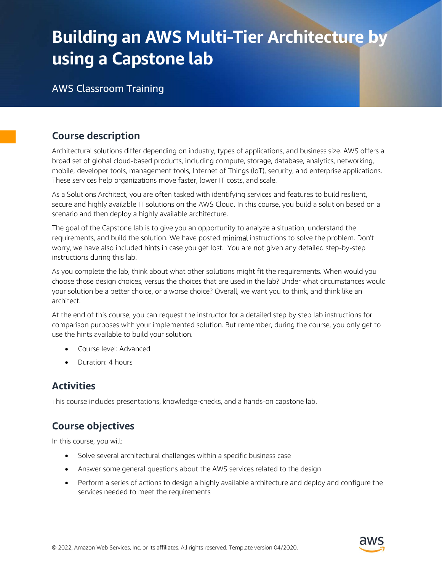# Building an AWS Multi-Tier Architecture by using a Capstone lab

AWS Classroom Training

## Course description

Architectural solutions differ depending on industry, types of applications, and business size. AWS offers a broad set of global cloud-based products, including compute, storage, database, analytics, networking, mobile, developer tools, management tools, Internet of Things (IoT), security, and enterprise applications. These services help organizations move faster, lower IT costs, and scale.

As a Solutions Architect, you are often tasked with identifying services and features to build resilient, secure and highly available IT solutions on the AWS Cloud. In this course, you build a solution based on a scenario and then deploy a highly available architecture.

The goal of the Capstone lab is to give you an opportunity to analyze a situation, understand the requirements, and build the solution. We have posted minimal instructions to solve the problem. Don't worry, we have also included **hints** in case you get lost. You are not given any detailed step-by-step instructions during this lab.

As you complete the lab, think about what other solutions might fit the requirements. When would you choose those design choices, versus the choices that are used in the lab? Under what circumstances would your solution be a better choice, or a worse choice? Overall, we want you to think, and think like an architect.

At the end of this course, you can request the instructor for a detailed step by step lab instructions for comparison purposes with your implemented solution. But remember, during the course, you only get to use the hints available to build your solution.

- Course level: Advanced
- Duration: 4 hours

## **Activities**

This course includes presentations, knowledge-checks, and a hands-on capstone lab.

# Course objectives

In this course, you will:

- Solve several architectural challenges within a specific business case
- Answer some general questions about the AWS services related to the design
- Perform a series of actions to design a highly available architecture and deploy and configure the services needed to meet the requirements